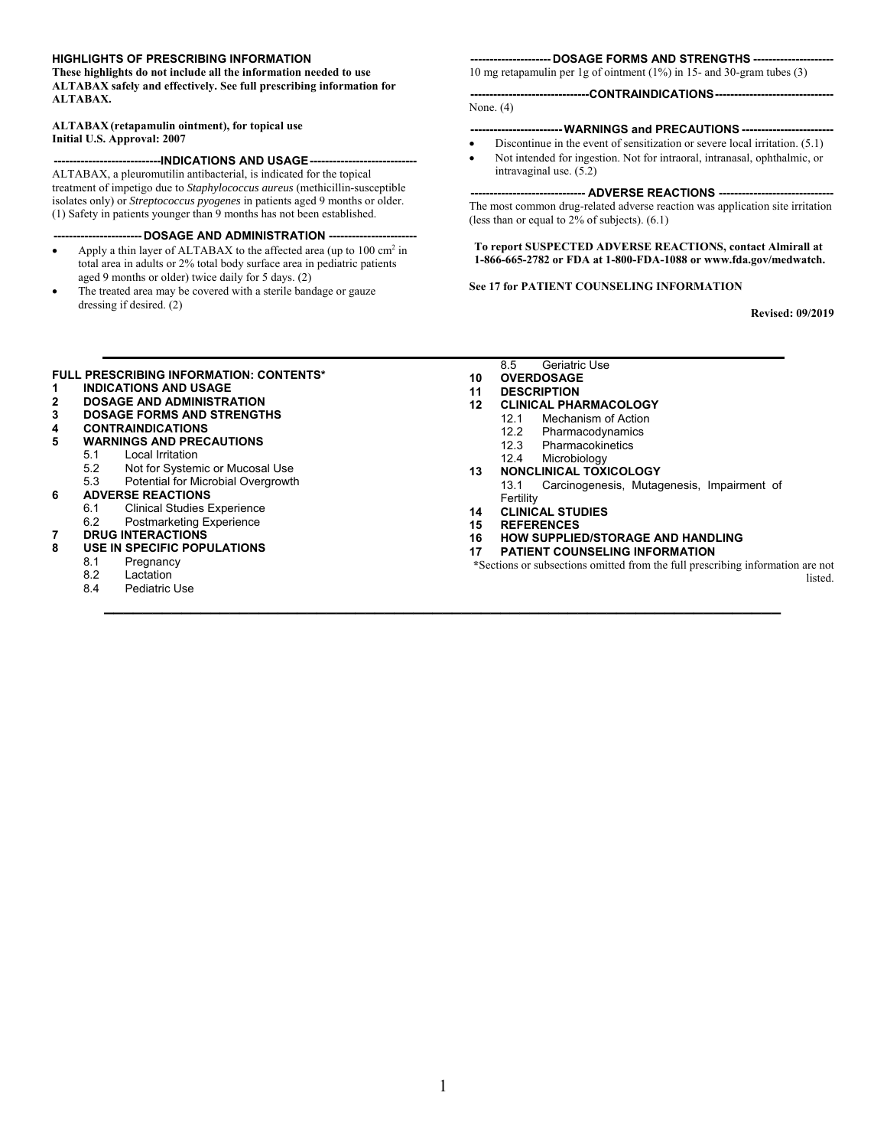#### **HIGHLIGHTS OF PRESCRIBING INFORMATION**

**These highlights do not include all the information needed to use ALTABAX safely and effectively. See full prescribing information for ALTABAX.** 

#### **Initial U.S. Approval: 2007 ALTABAX (retapamulin ointment), for topical use**

#### **----------------------------INDICATIONS AND USAGE----------------------------**

 isolates only) or *Streptococcus pyogenes* in patients aged 9 months or older. (1) Safety in patients younger than 9 months has not been established. ALTABAX, a pleuromutilin antibacterial, is indicated for the topical treatment of impetigo due to *Staphylococcus aureus* (methicillin-susceptible

#### **----------------------- DOSAGE AND ADMINISTRATION -----------------------**

- aged 9 months or older) twice daily for 5 days. (2) • Apply a thin layer of ALTABAX to the affected area (up to  $100 \text{ cm}^2$  in total area in adults or 2% total body surface area in pediatric patients
- The treated area may be covered with a sterile bandage or gauze dressing if desired. (2)

#### **--------------------- DOSAGE FORMS AND STRENGTHS ---------------------**

10 mg retapamulin per 1g of ointment (1%) in 15- and 30-gram tubes (3)

#### **------------------------------- CONTRAINDICATIONS-------------------------------**

None. (4)

### **------------------------ WARNINGS and PRECAUTIONS ------------------------**

- Not intended for ingestion. Not for intraoral, intranasal, ophthalmic, or Discontinue in the event of sensitization or severe local irritation. (5.1)
- intravaginal use. (5.2)

#### **------------------------------ ADVERSE REACTIONS ------------------------------**

The most common drug-related adverse reaction was application site irritation (less than or equal to 2% of subjects). (6.1)

#### **1-866-665-2782 or FDA at 1-800-FDA-1088 or www.fda.gov/medwatch. To report SUSPECTED ADVERSE REACTIONS, contact Almirall at**

#### **See 17 for PATIENT COUNSELING INFORMATION**

 **Revised: 09/2019** 

#### **FULL PRESCRIBING INFORMATION: CONTENTS\***

- **1 INDICATIONS AND USAGE**
- **2 DOSAGE AND ADMINISTRATION**
- **3 DOSAGE FORMS AND STRENGTHS**
- **4 CONTRAINDICATIONS**
- **5 WARNINGS AND PRECAUTIONS** 
	- 5.1 Local Irritation
	- 5.2 Not for Systemic or Mucosal Use
	- 5.3 Potential for Microbial Overgrowth

# **6 ADVERSE REACTIONS**<br>6.1 Clinical Studies B

- **Clinical Studies Experience** 6.2 Postmarketing Experience
- **7 DRUG INTERACTIONS**
- **8 USE IN SPECIFIC POPULATIONS**
- - 8.1 Pregnancy<br>8.2 Lactation
		- 8.2 Lactation<br>8.4 Pediatric
		- Pediatric Use

8.5 Geriatric Use

- **10 OVERDOSAGE**
- **11 DESCRIPTION**
- **12 CLINICAL PHARMACOLOGY** 
	- 12.1 Mechanism of Action
	- 12.2 Pharmacodynamics<br>12.3 Pharmacokinetics
	- **Pharmacokinetics**
	- 12.4 Microbiology
- **13 NONCLINICAL TOXICOLOGY**
- 13.1 Carcinogenesis, Mutagenesis, Impairment of Fertility
- **14 CLINICAL STUDIES**
- **15 REFERENCES**

**\_\_\_\_\_\_\_\_\_\_\_\_\_\_\_\_\_\_\_\_\_\_\_\_\_\_\_\_\_\_\_\_\_\_\_\_\_\_\_\_\_\_\_\_\_\_\_\_\_\_\_\_\_\_\_\_\_\_\_\_\_\_\_\_\_\_\_\_\_\_** 

- **16 HOW SUPPLIED/STORAGE AND HANDLING**
- **PATIENT COUNSELING INFORMATION**

**\***Sections or subsections omitted from the full prescribing information are not listed.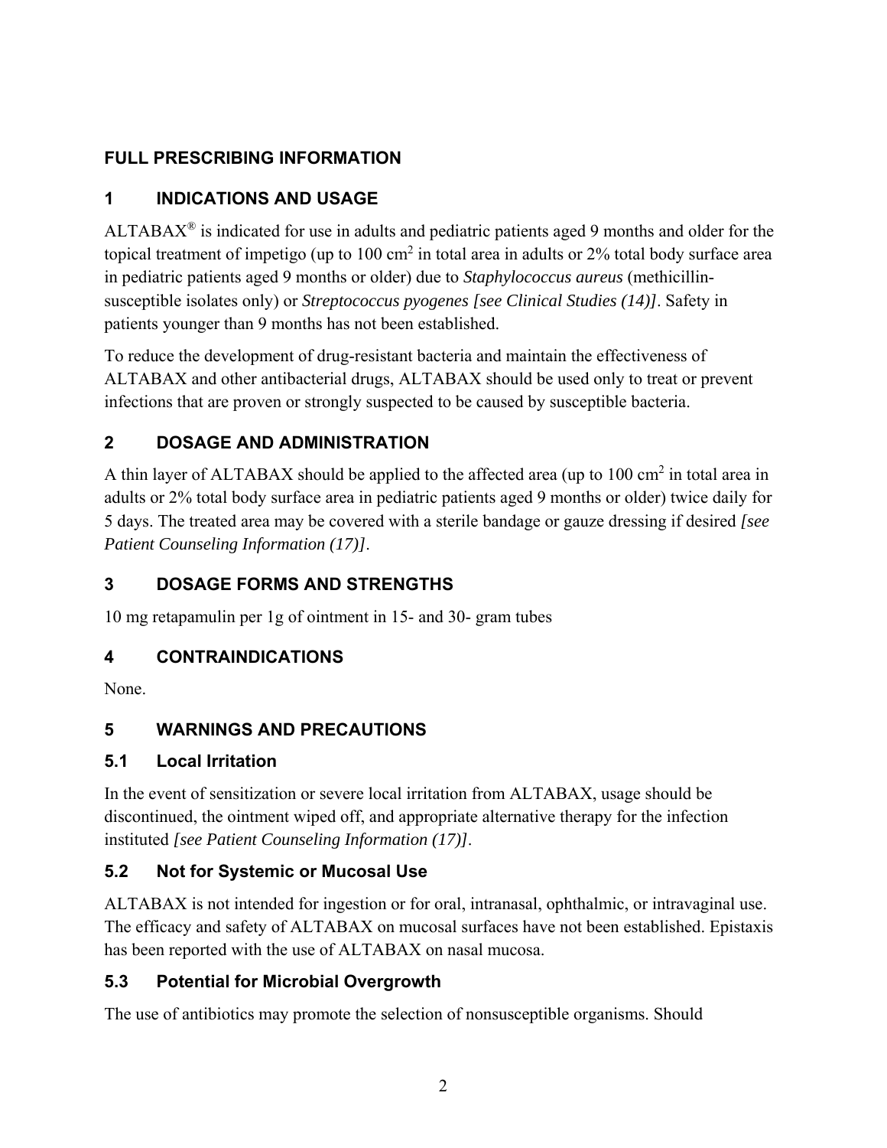# **FULL PRESCRIBING INFORMATION**

# **1 INDICATIONS AND USAGE**

 $ALTABAX<sup>®</sup>$  is indicated for use in adults and pediatric patients aged 9 months and older for the topical treatment of impetigo (up to  $100 \text{ cm}^2$  in total area in adults or 2% total body surface area in pediatric patients aged 9 months or older) due to *Staphylococcus aureus* (methicillinsusceptible isolates only) or *Streptococcus pyogenes [see Clinical Studies (14)]*. Safety in patients younger than 9 months has not been established.

To reduce the development of drug-resistant bacteria and maintain the effectiveness of ALTABAX and other antibacterial drugs, ALTABAX should be used only to treat or prevent infections that are proven or strongly suspected to be caused by susceptible bacteria.

# **2 DOSAGE AND ADMINISTRATION**

A thin layer of ALTABAX should be applied to the affected area (up to  $100 \text{ cm}^2$  in total area in adults or 2% total body surface area in pediatric patients aged 9 months or older) twice daily for 5 days. The treated area may be covered with a sterile bandage or gauze dressing if desired *[see Patient Counseling Information (17)]*.

# **3 DOSAGE FORMS AND STRENGTHS**

10 mg retapamulin per 1g of ointment in 15- and 30- gram tubes

# **4 CONTRAINDICATIONS**

None.

# **5 WARNINGS AND PRECAUTIONS**

# **5.1 Local Irritation**

In the event of sensitization or severe local irritation from ALTABAX, usage should be discontinued, the ointment wiped off, and appropriate alternative therapy for the infection instituted *[see Patient Counseling Information (17)]*.

# **5.2 Not for Systemic or Mucosal Use**

ALTABAX is not intended for ingestion or for oral, intranasal, ophthalmic, or intravaginal use. The efficacy and safety of ALTABAX on mucosal surfaces have not been established. Epistaxis has been reported with the use of ALTABAX on nasal mucosa.

# **5.3 Potential for Microbial Overgrowth**

The use of antibiotics may promote the selection of nonsusceptible organisms. Should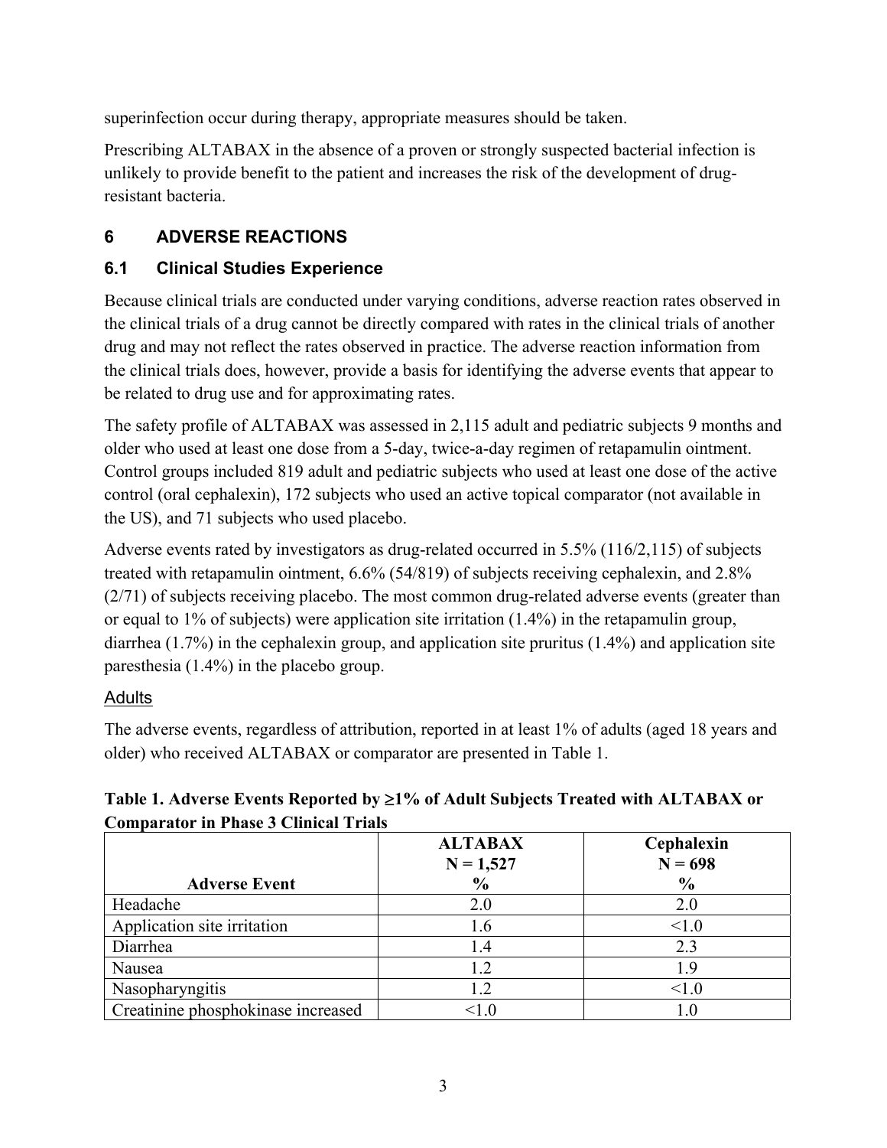superinfection occur during therapy, appropriate measures should be taken.

Prescribing ALTABAX in the absence of a proven or strongly suspected bacterial infection is unlikely to provide benefit to the patient and increases the risk of the development of drugresistant bacteria.

# **6 ADVERSE REACTIONS**

# **6.1 Clinical Studies Experience**

Because clinical trials are conducted under varying conditions, adverse reaction rates observed in the clinical trials of a drug cannot be directly compared with rates in the clinical trials of another drug and may not reflect the rates observed in practice. The adverse reaction information from the clinical trials does, however, provide a basis for identifying the adverse events that appear to be related to drug use and for approximating rates.

The safety profile of ALTABAX was assessed in 2,115 adult and pediatric subjects 9 months and older who used at least one dose from a 5-day, twice-a-day regimen of retapamulin ointment. Control groups included 819 adult and pediatric subjects who used at least one dose of the active control (oral cephalexin), 172 subjects who used an active topical comparator (not available in the US), and 71 subjects who used placebo.

Adverse events rated by investigators as drug-related occurred in 5.5% (116/2,115) of subjects treated with retapamulin ointment, 6.6% (54/819) of subjects receiving cephalexin, and 2.8% (2/71) of subjects receiving placebo. The most common drug-related adverse events (greater than or equal to 1% of subjects) were application site irritation  $(1.4\%)$  in the retapamulin group, diarrhea (1.7%) in the cephalexin group, and application site pruritus (1.4%) and application site paresthesia (1.4%) in the placebo group.

# Adults

The adverse events, regardless of attribution, reported in at least 1% of adults (aged 18 years and older) who received ALTABAX or comparator are presented in Table 1.

**Adverse Event ALTABAX N = 1,527 % Cephalexin N = 698 %**  Headache  $2.0$  2.0 2.0 Application site irritation 1.6 (1.0) Diarrhea 1.4 1.4 2.3 Nausea 1.2 1.9 Nasopharyngitis 1.2  $\vert$  1.2  $\vert$  1.0 Creatinine phosphokinase increased  $\sim 1.0$  1.0

# **Table 1. Adverse Events Reported by 1% of Adult Subjects Treated with ALTABAX or Comparator in Phase 3 Clinical Trials**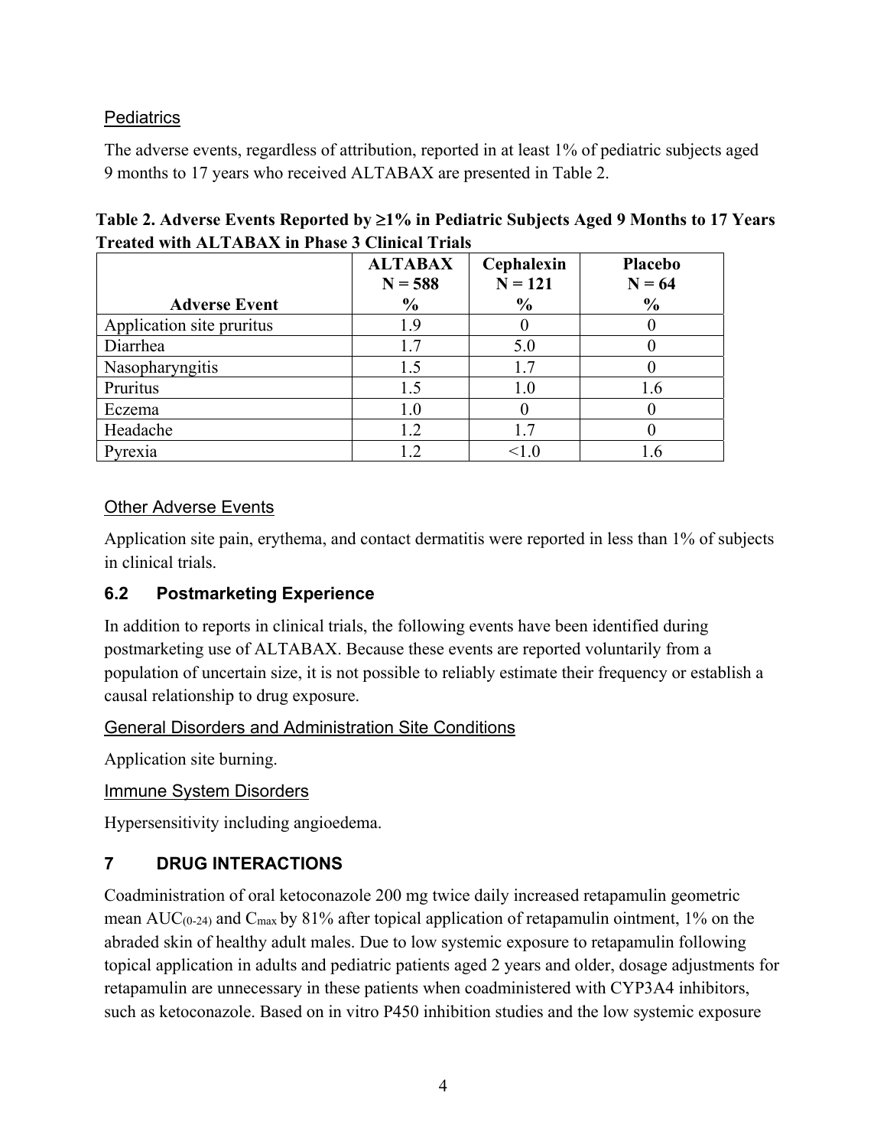## **Pediatrics**

The adverse events, regardless of attribution, reported in at least 1% of pediatric subjects aged 9 months to 17 years who received ALTABAX are presented in Table 2.

|                           | <b>ALTABAX</b><br>$N = 588$ | Cephalexin<br>$N = 121$ | Placebo<br>$N = 64$ |
|---------------------------|-----------------------------|-------------------------|---------------------|
| <b>Adverse Event</b>      | $\frac{0}{0}$               | $\frac{6}{6}$           | $\frac{0}{0}$       |
| Application site pruritus | 1.9                         |                         |                     |
| Diarrhea                  | 1.7                         | 5.0                     |                     |
| Nasopharyngitis           | 1.5                         |                         |                     |
| Pruritus                  | 1.5                         | 1.0                     | 1.6                 |
| Eczema                    | 1.0                         |                         |                     |
| Headache                  | 1.2                         |                         |                     |
| Pyrexia                   |                             | < 1.0                   |                     |

# **Table 2. Adverse Events Reported by 1% in Pediatric Subjects Aged 9 Months to 17 Years Treated with ALTABAX in Phase 3 Clinical Trials**

## **Other Adverse Events**

Application site pain, erythema, and contact dermatitis were reported in less than 1% of subjects in clinical trials.

## **6.2 Postmarketing Experience**

In addition to reports in clinical trials, the following events have been identified during postmarketing use of ALTABAX. Because these events are reported voluntarily from a population of uncertain size, it is not possible to reliably estimate their frequency or establish a causal relationship to drug exposure.

## General Disorders and Administration Site Conditions

Application site burning.

Immune System Disorders

Hypersensitivity including angioedema.

# **7 DRUG INTERACTIONS**

Coadministration of oral ketoconazole 200 mg twice daily increased retapamulin geometric mean  $AUC_{(0-24)}$  and  $C_{\text{max}}$  by 81% after topical application of retapamulin ointment, 1% on the abraded skin of healthy adult males. Due to low systemic exposure to retapamulin following topical application in adults and pediatric patients aged 2 years and older, dosage adjustments for retapamulin are unnecessary in these patients when coadministered with CYP3A4 inhibitors, such as ketoconazole. Based on in vitro P450 inhibition studies and the low systemic exposure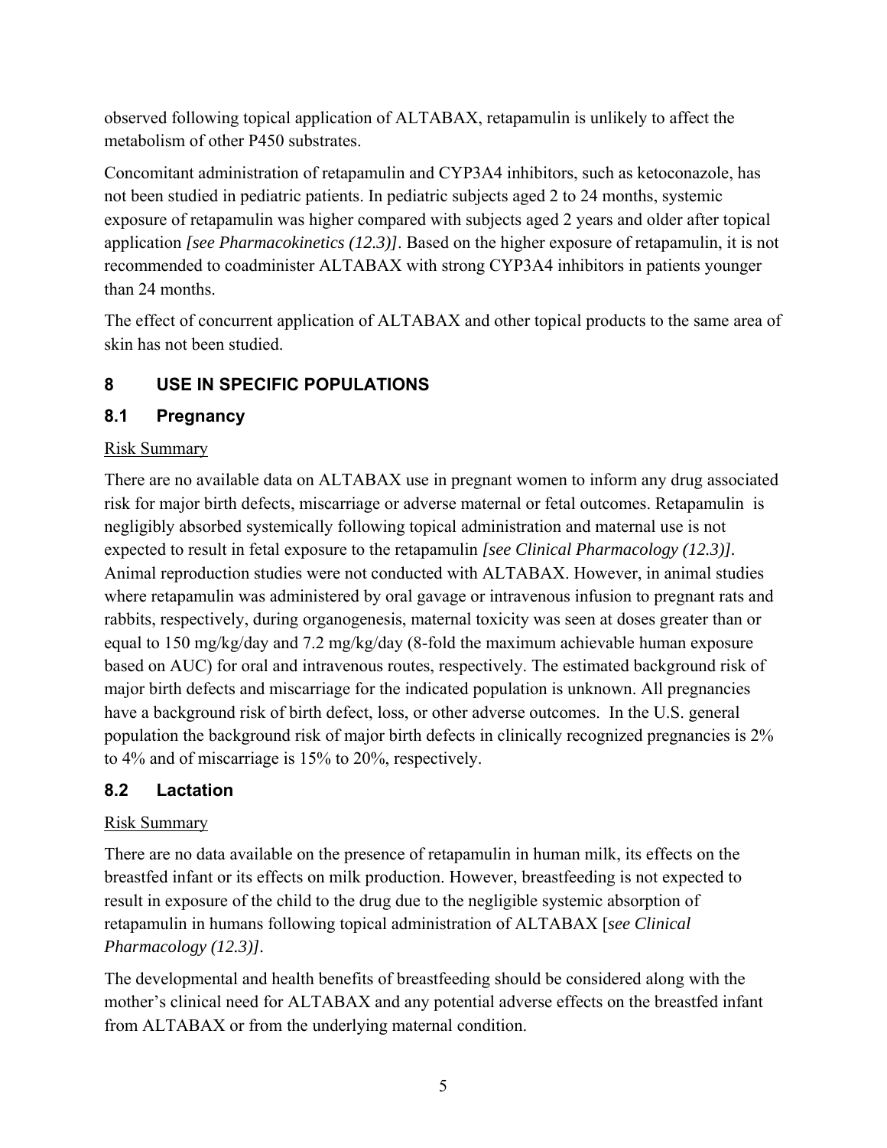observed following topical application of ALTABAX, retapamulin is unlikely to affect the metabolism of other P450 substrates.

Concomitant administration of retapamulin and CYP3A4 inhibitors, such as ketoconazole, has not been studied in pediatric patients. In pediatric subjects aged 2 to 24 months, systemic exposure of retapamulin was higher compared with subjects aged 2 years and older after topical application *[see Pharmacokinetics (12.3)]*. Based on the higher exposure of retapamulin, it is not recommended to coadminister ALTABAX with strong CYP3A4 inhibitors in patients younger than 24 months.

The effect of concurrent application of ALTABAX and other topical products to the same area of skin has not been studied.

## **8 USE IN SPECIFIC POPULATIONS**

### **8.1 Pregnancy**

### Risk Summary

There are no available data on ALTABAX use in pregnant women to inform any drug associated risk for major birth defects, miscarriage or adverse maternal or fetal outcomes. Retapamulin is negligibly absorbed systemically following topical administration and maternal use is not expected to result in fetal exposure to the retapamulin *[see Clinical Pharmacology (12.3)].*  Animal reproduction studies were not conducted with ALTABAX. However, in animal studies where retapamulin was administered by oral gavage or intravenous infusion to pregnant rats and rabbits, respectively, during organogenesis, maternal toxicity was seen at doses greater than or equal to 150 mg/kg/day and 7.2 mg/kg/day (8-fold the maximum achievable human exposure based on AUC) for oral and intravenous routes, respectively. The estimated background risk of major birth defects and miscarriage for the indicated population is unknown. All pregnancies have a background risk of birth defect, loss, or other adverse outcomes. In the U.S. general population the background risk of major birth defects in clinically recognized pregnancies is 2% to 4% and of miscarriage is 15% to 20%, respectively.

### **8.2 Lactation**

### Risk Summary

There are no data available on the presence of retapamulin in human milk, its effects on the breastfed infant or its effects on milk production. However, breastfeeding is not expected to result in exposure of the child to the drug due to the negligible systemic absorption of retapamulin in humans following topical administration of ALTABAX [*see Clinical Pharmacology (12.3)].* 

The developmental and health benefits of breastfeeding should be considered along with the mother's clinical need for ALTABAX and any potential adverse effects on the breastfed infant from ALTABAX or from the underlying maternal condition.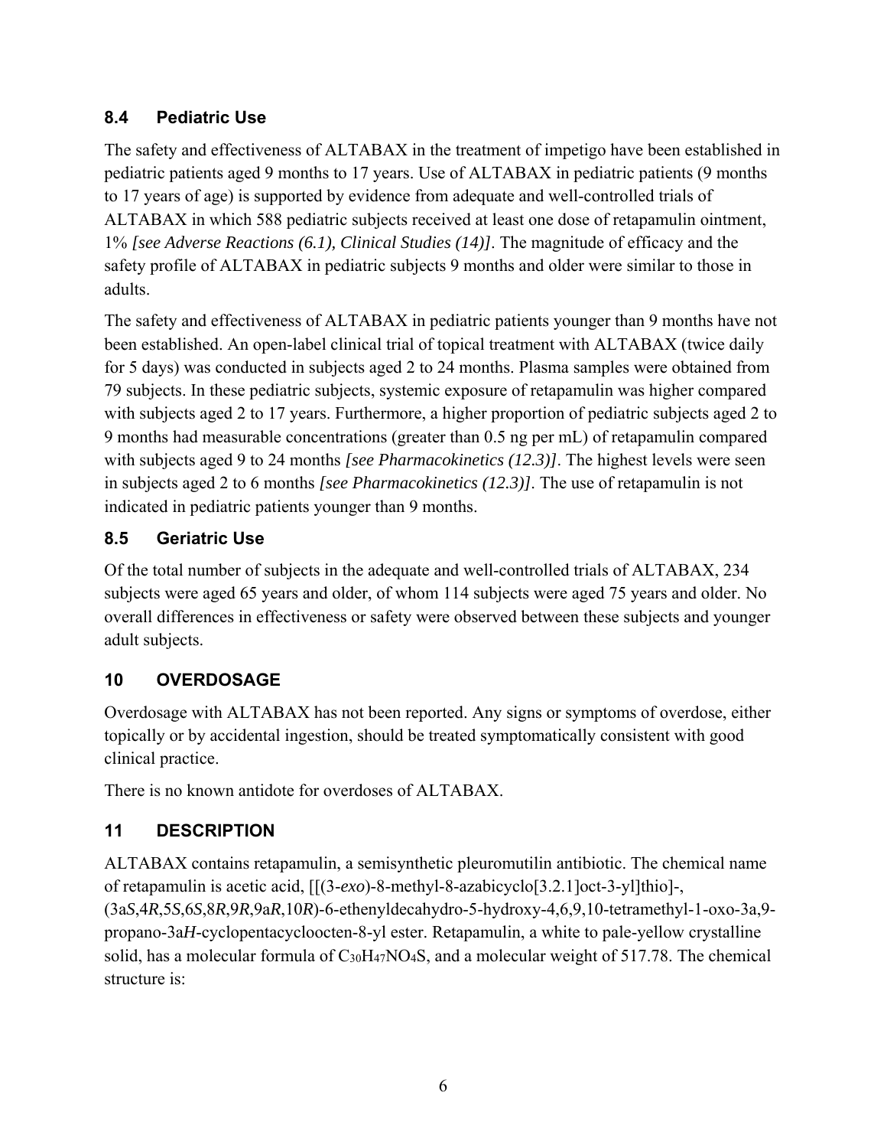# **8.4 Pediatric Use**

The safety and effectiveness of ALTABAX in the treatment of impetigo have been established in pediatric patients aged 9 months to 17 years. Use of ALTABAX in pediatric patients (9 months to 17 years of age) is supported by evidence from adequate and well-controlled trials of ALTABAX in which 588 pediatric subjects received at least one dose of retapamulin ointment, 1% *[see Adverse Reactions (6.1), Clinical Studies (14)]*. The magnitude of efficacy and the safety profile of ALTABAX in pediatric subjects 9 months and older were similar to those in adults.

The safety and effectiveness of ALTABAX in pediatric patients younger than 9 months have not been established. An open-label clinical trial of topical treatment with ALTABAX (twice daily for 5 days) was conducted in subjects aged 2 to 24 months. Plasma samples were obtained from 79 subjects. In these pediatric subjects, systemic exposure of retapamulin was higher compared with subjects aged 2 to 17 years. Furthermore, a higher proportion of pediatric subjects aged 2 to 9 months had measurable concentrations (greater than 0.5 ng per mL) of retapamulin compared with subjects aged 9 to 24 months *[see Pharmacokinetics (12.3)]*. The highest levels were seen in subjects aged 2 to 6 months *[see Pharmacokinetics (12.3)]*. The use of retapamulin is not indicated in pediatric patients younger than 9 months.

# **8.5 Geriatric Use**

Of the total number of subjects in the adequate and well-controlled trials of ALTABAX, 234 subjects were aged 65 years and older, of whom 114 subjects were aged 75 years and older. No overall differences in effectiveness or safety were observed between these subjects and younger adult subjects.

# **10 OVERDOSAGE**

Overdosage with ALTABAX has not been reported. Any signs or symptoms of overdose, either topically or by accidental ingestion, should be treated symptomatically consistent with good clinical practice.

There is no known antidote for overdoses of ALTABAX.

# **11 DESCRIPTION**

ALTABAX contains retapamulin, a semisynthetic pleuromutilin antibiotic. The chemical name of retapamulin is acetic acid, [[(3-*exo*)-8-methyl-8-azabicyclo[3.2.1]oct-3-yl]thio]-, (3a*S*,4*R*,5*S*,6*S*,8*R*,9*R*,9a*R*,10*R*)-6-ethenyldecahydro-5-hydroxy-4,6,9,10-tetramethyl-1-oxo-3a,9 propano-3a*H*-cyclopentacycloocten-8-yl ester. Retapamulin, a white to pale-yellow crystalline solid, has a molecular formula of C<sub>30</sub>H<sub>47</sub>NO<sub>4</sub>S, and a molecular weight of 517.78. The chemical structure is: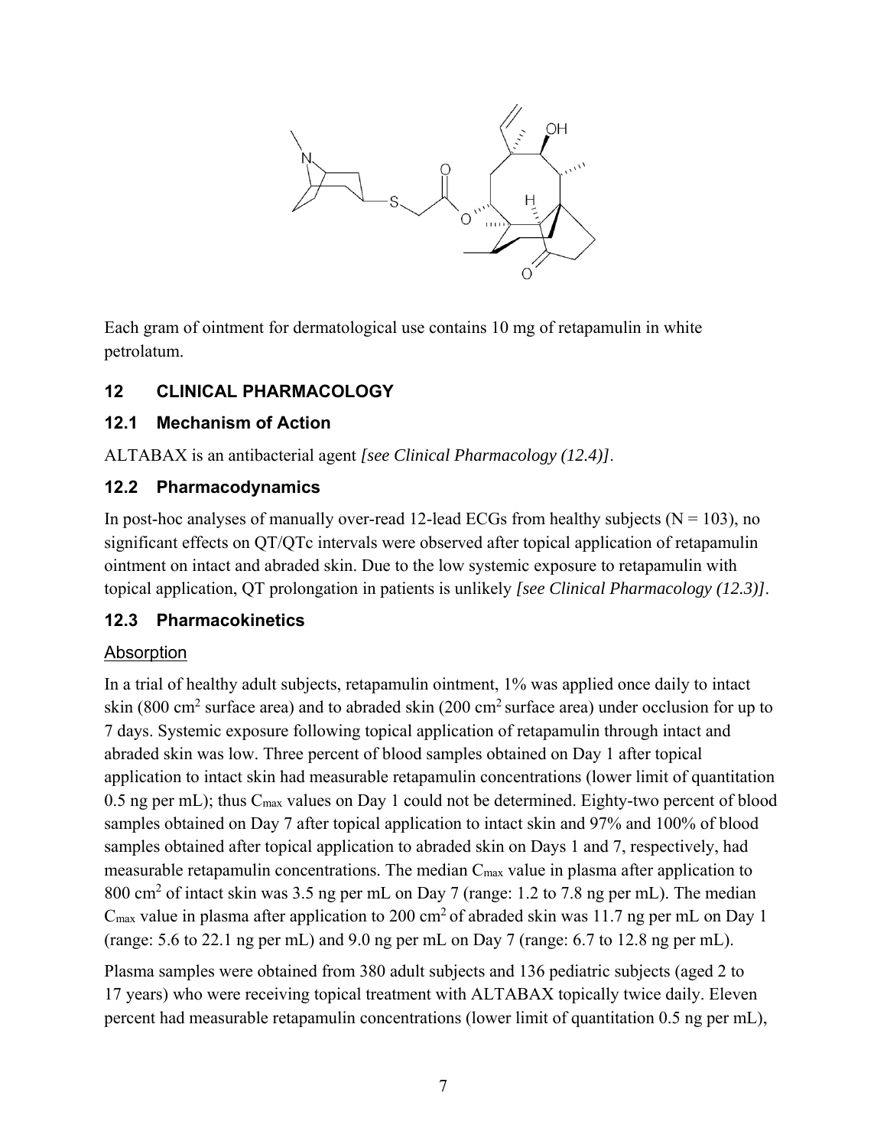

Each gram of ointment for dermatological use contains 10 mg of retapamulin in white petrolatum.

# **12 CLINICAL PHARMACOLOGY**

## **12.1 Mechanism of Action**

ALTABAX is an antibacterial agent *[see Clinical Pharmacology (12.4)]*.

## **12.2 Pharmacodynamics**

In post-hoc analyses of manually over-read 12-lead ECGs from healthy subjects ( $N = 103$ ), no significant effects on QT/QTc intervals were observed after topical application of retapamulin ointment on intact and abraded skin. Due to the low systemic exposure to retapamulin with topical application, QT prolongation in patients is unlikely *[see Clinical Pharmacology (12.3)]*.

## **12.3 Pharmacokinetics**

## Absorption

In a trial of healthy adult subjects, retapamulin ointment, 1% was applied once daily to intact skin (800 cm<sup>2</sup> surface area) and to abraded skin (200 cm<sup>2</sup> surface area) under occlusion for up to 7 days. Systemic exposure following topical application of retapamulin through intact and abraded skin was low. Three percent of blood samples obtained on Day 1 after topical application to intact skin had measurable retapamulin concentrations (lower limit of quantitation 0.5 ng per mL); thus C<sub>max</sub> values on Day 1 could not be determined. Eighty-two percent of blood samples obtained on Day 7 after topical application to intact skin and 97% and 100% of blood samples obtained after topical application to abraded skin on Days 1 and 7, respectively, had measurable retapamulin concentrations. The median C<sub>max</sub> value in plasma after application to 800 cm<sup>2</sup> of intact skin was 3.5 ng per mL on Day 7 (range: 1.2 to 7.8 ng per mL). The median  $C_{\text{max}}$  value in plasma after application to 200 cm<sup>2</sup> of abraded skin was 11.7 ng per mL on Day 1 (range: 5.6 to 22.1 ng per mL) and 9.0 ng per mL on Day 7 (range: 6.7 to 12.8 ng per mL).

Plasma samples were obtained from 380 adult subjects and 136 pediatric subjects (aged 2 to 17 years) who were receiving topical treatment with ALTABAX topically twice daily. Eleven percent had measurable retapamulin concentrations (lower limit of quantitation 0.5 ng per mL),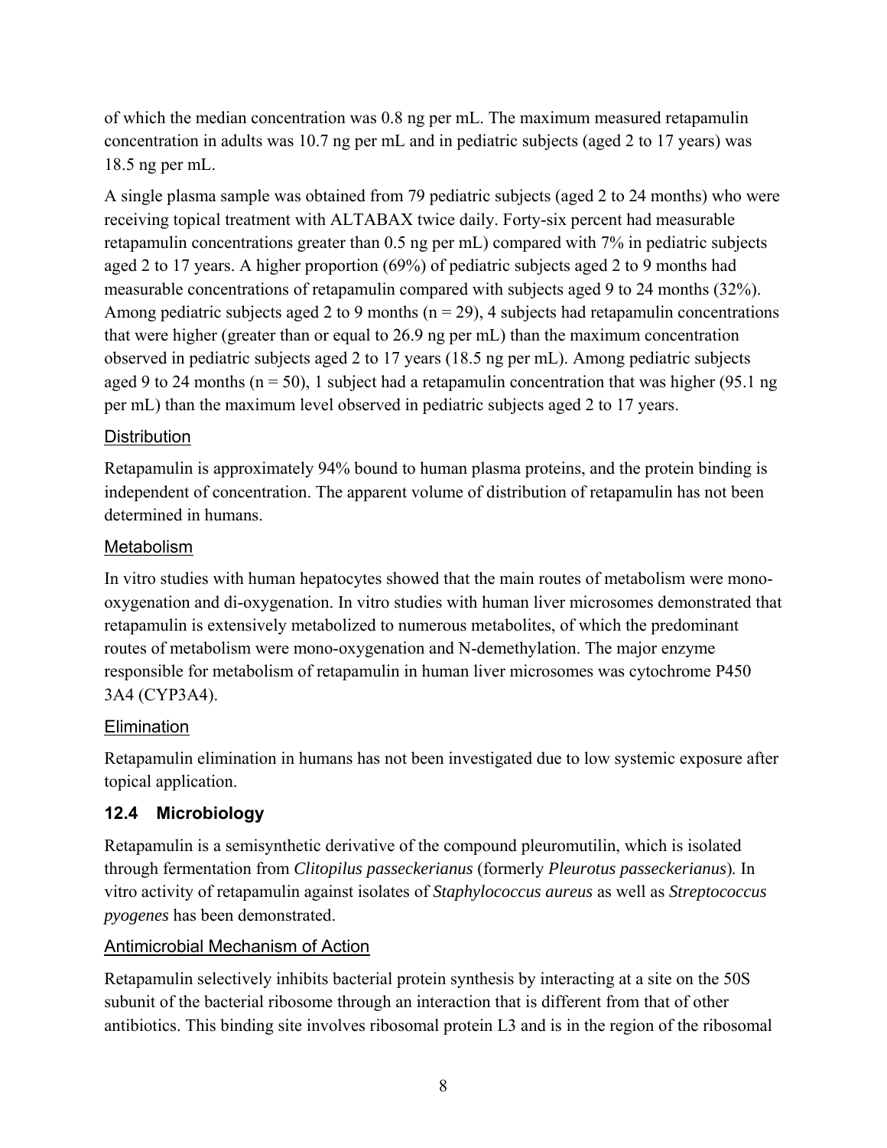of which the median concentration was 0.8 ng per mL. The maximum measured retapamulin concentration in adults was 10.7 ng per mL and in pediatric subjects (aged 2 to 17 years) was 18.5 ng per mL.

A single plasma sample was obtained from 79 pediatric subjects (aged 2 to 24 months) who were receiving topical treatment with ALTABAX twice daily. Forty-six percent had measurable retapamulin concentrations greater than 0.5 ng per mL) compared with 7% in pediatric subjects aged 2 to 17 years. A higher proportion (69%) of pediatric subjects aged 2 to 9 months had measurable concentrations of retapamulin compared with subjects aged 9 to 24 months (32%). Among pediatric subjects aged 2 to 9 months ( $n = 29$ ), 4 subjects had retapamulin concentrations that were higher (greater than or equal to 26.9 ng per mL) than the maximum concentration observed in pediatric subjects aged 2 to 17 years (18.5 ng per mL). Among pediatric subjects aged 9 to 24 months ( $n = 50$ ), 1 subject had a retapamulin concentration that was higher (95.1 ng) per mL) than the maximum level observed in pediatric subjects aged 2 to 17 years.

### **Distribution**

Retapamulin is approximately 94% bound to human plasma proteins, and the protein binding is independent of concentration. The apparent volume of distribution of retapamulin has not been determined in humans.

### Metabolism

In vitro studies with human hepatocytes showed that the main routes of metabolism were monooxygenation and di-oxygenation. In vitro studies with human liver microsomes demonstrated that retapamulin is extensively metabolized to numerous metabolites, of which the predominant routes of metabolism were mono-oxygenation and N-demethylation. The major enzyme responsible for metabolism of retapamulin in human liver microsomes was cytochrome P450 3A4 (CYP3A4).

### **Elimination**

Retapamulin elimination in humans has not been investigated due to low systemic exposure after topical application.

## **12.4 Microbiology**

Retapamulin is a semisynthetic derivative of the compound pleuromutilin, which is isolated through fermentation from *Clitopilus passeckerianus* (formerly *Pleurotus passeckerianus*)*.* In vitro activity of retapamulin against isolates of *Staphylococcus aureus* as well as *Streptococcus pyogenes* has been demonstrated.

### Antimicrobial Mechanism of Action

Retapamulin selectively inhibits bacterial protein synthesis by interacting at a site on the 50S subunit of the bacterial ribosome through an interaction that is different from that of other antibiotics. This binding site involves ribosomal protein L3 and is in the region of the ribosomal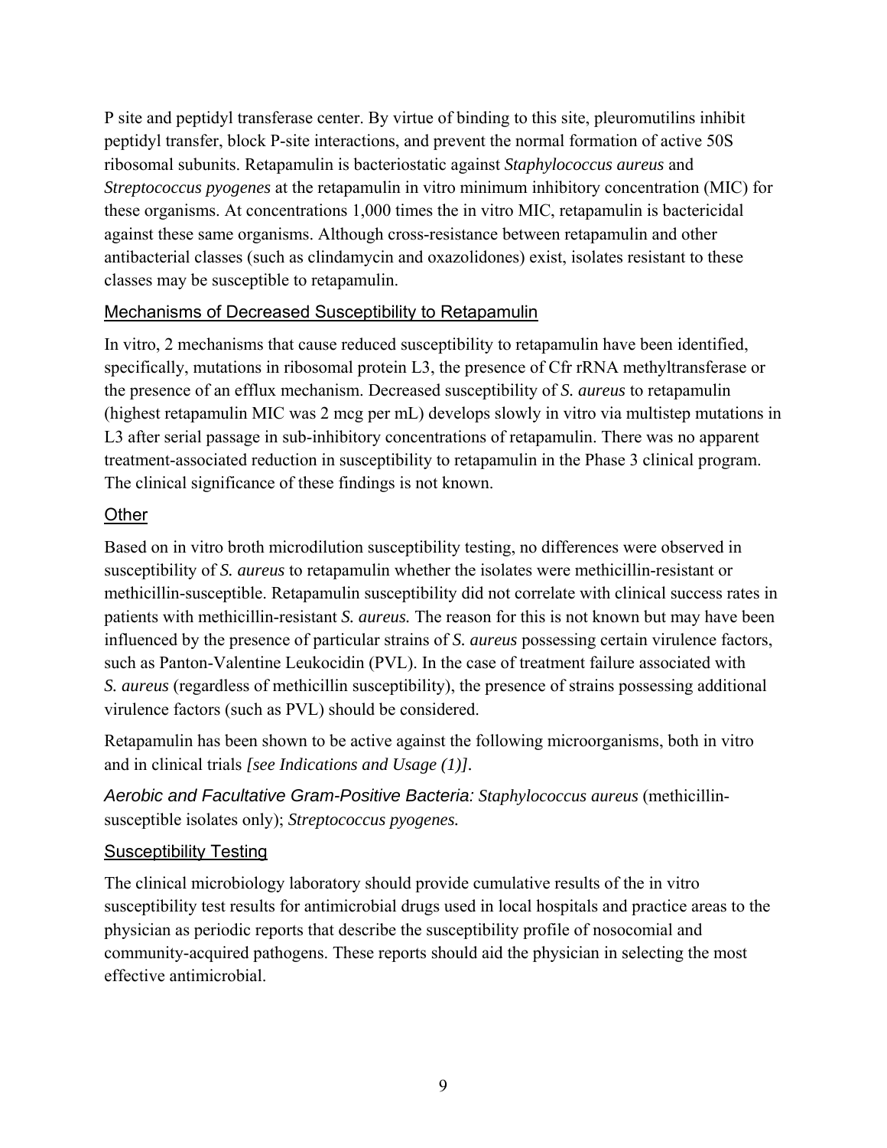P site and peptidyl transferase center. By virtue of binding to this site, pleuromutilins inhibit peptidyl transfer, block P-site interactions, and prevent the normal formation of active 50S ribosomal subunits. Retapamulin is bacteriostatic against *Staphylococcus aureus* and *Streptococcus pyogenes* at the retapamulin in vitro minimum inhibitory concentration (MIC) for these organisms. At concentrations 1,000 times the in vitro MIC, retapamulin is bactericidal against these same organisms. Although cross-resistance between retapamulin and other antibacterial classes (such as clindamycin and oxazolidones) exist, isolates resistant to these classes may be susceptible to retapamulin.

## Mechanisms of Decreased Susceptibility to Retapamulin

In vitro, 2 mechanisms that cause reduced susceptibility to retapamulin have been identified, specifically, mutations in ribosomal protein L3, the presence of Cfr rRNA methyltransferase or the presence of an efflux mechanism. Decreased susceptibility of *S. aureus* to retapamulin (highest retapamulin MIC was 2 mcg per mL) develops slowly in vitro via multistep mutations in L3 after serial passage in sub-inhibitory concentrations of retapamulin. There was no apparent treatment-associated reduction in susceptibility to retapamulin in the Phase 3 clinical program. The clinical significance of these findings is not known.

## **Other**

Based on in vitro broth microdilution susceptibility testing, no differences were observed in susceptibility of *S. aureus* to retapamulin whether the isolates were methicillin-resistant or methicillin-susceptible. Retapamulin susceptibility did not correlate with clinical success rates in patients with methicillin-resistant *S. aureus.* The reason for this is not known but may have been influenced by the presence of particular strains of *S. aureus* possessing certain virulence factors, such as Panton-Valentine Leukocidin (PVL). In the case of treatment failure associated with *S. aureus* (regardless of methicillin susceptibility), the presence of strains possessing additional virulence factors (such as PVL) should be considered.

Retapamulin has been shown to be active against the following microorganisms, both in vitro and in clinical trials *[see Indications and Usage (1)].* 

*Aerobic and Facultative Gram-Positive Bacteria: Staphylococcus aureus* (methicillinsusceptible isolates only); *Streptococcus pyogenes.* 

### Susceptibility Testing

The clinical microbiology laboratory should provide cumulative results of the in vitro susceptibility test results for antimicrobial drugs used in local hospitals and practice areas to the physician as periodic reports that describe the susceptibility profile of nosocomial and community-acquired pathogens. These reports should aid the physician in selecting the most effective antimicrobial.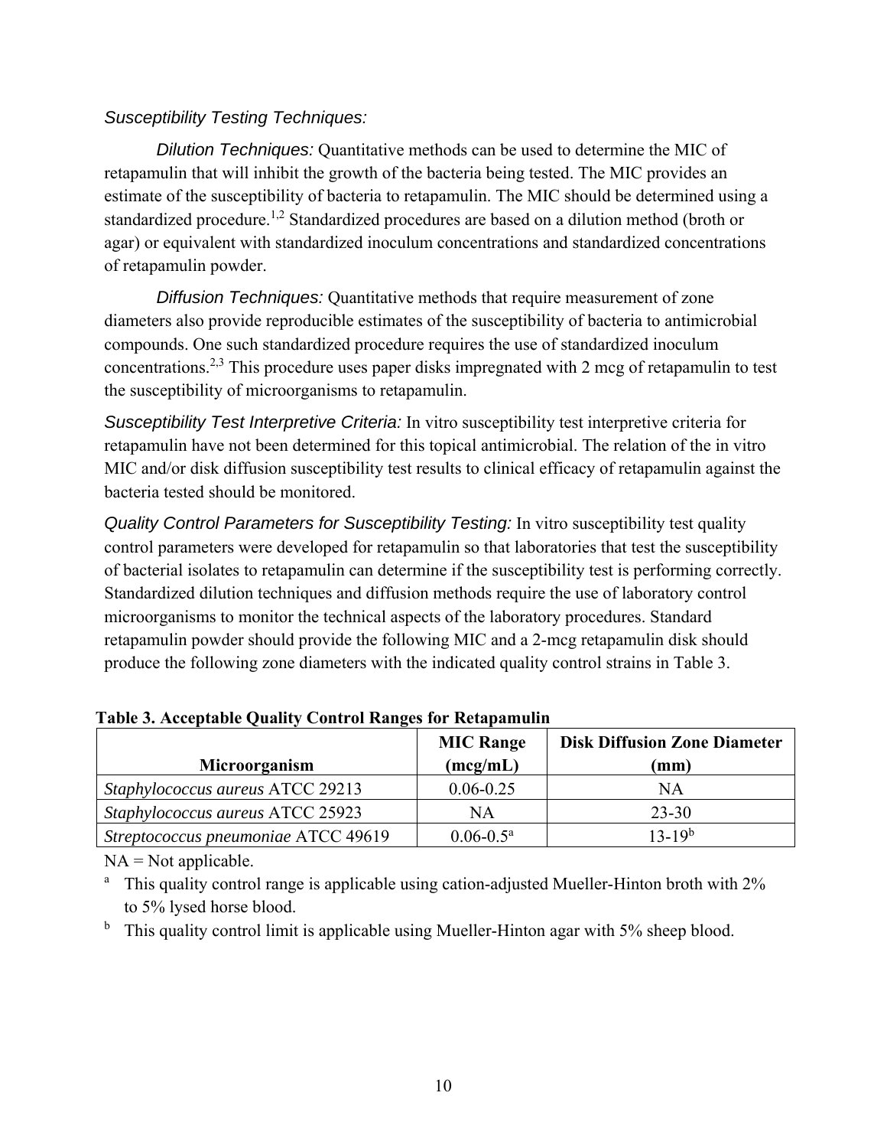## *Susceptibility Testing Techniques:*

 *Dilution Techniques:* Quantitative methods can be used to determine the MIC of retapamulin that will inhibit the growth of the bacteria being tested. The MIC provides an estimate of the susceptibility of bacteria to retapamulin. The MIC should be determined using a standardized procedure.<sup>1,2</sup> Standardized procedures are based on a dilution method (broth or agar) or equivalent with standardized inoculum concentrations and standardized concentrations of retapamulin powder.

 *Diffusion Techniques:* Quantitative methods that require measurement of zone diameters also provide reproducible estimates of the susceptibility of bacteria to antimicrobial compounds. One such standardized procedure requires the use of standardized inoculum concentrations.2,3 This procedure uses paper disks impregnated with 2 mcg of retapamulin to test the susceptibility of microorganisms to retapamulin.

*Susceptibility Test Interpretive Criteria:* In vitro susceptibility test interpretive criteria for retapamulin have not been determined for this topical antimicrobial. The relation of the in vitro MIC and/or disk diffusion susceptibility test results to clinical efficacy of retapamulin against the bacteria tested should be monitored.

*Quality Control Parameters for Susceptibility Testing:* In vitro susceptibility test quality control parameters were developed for retapamulin so that laboratories that test the susceptibility of bacterial isolates to retapamulin can determine if the susceptibility test is performing correctly. Standardized dilution techniques and diffusion methods require the use of laboratory control microorganisms to monitor the technical aspects of the laboratory procedures. Standard retapamulin powder should provide the following MIC and a 2-mcg retapamulin disk should produce the following zone diameters with the indicated quality control strains in Table 3.

| Microorganism                       | <b>MIC Range</b><br>(mcg/mL) | <b>Disk Diffusion Zone Diameter</b><br>$(\mathbf{mm})$ |
|-------------------------------------|------------------------------|--------------------------------------------------------|
| Staphylococcus aureus ATCC 29213    | $0.06 - 0.25$                | ΝA                                                     |
| Staphylococcus aureus ATCC 25923    | NΑ                           | $23 - 30$                                              |
| Streptococcus pneumoniae ATCC 49619 | $0.06 - 0.5^a$               | $13-19^{b}$                                            |

**Table 3. Acceptable Quality Control Ranges for Retapamulin** 

 $NA = Not applicable.$ 

<sup>a</sup> This quality control range is applicable using cation-adjusted Mueller-Hinton broth with 2% to 5% lysed horse blood.

 $<sup>b</sup>$  This quality control limit is applicable using Mueller-Hinton agar with 5% sheep blood.</sup>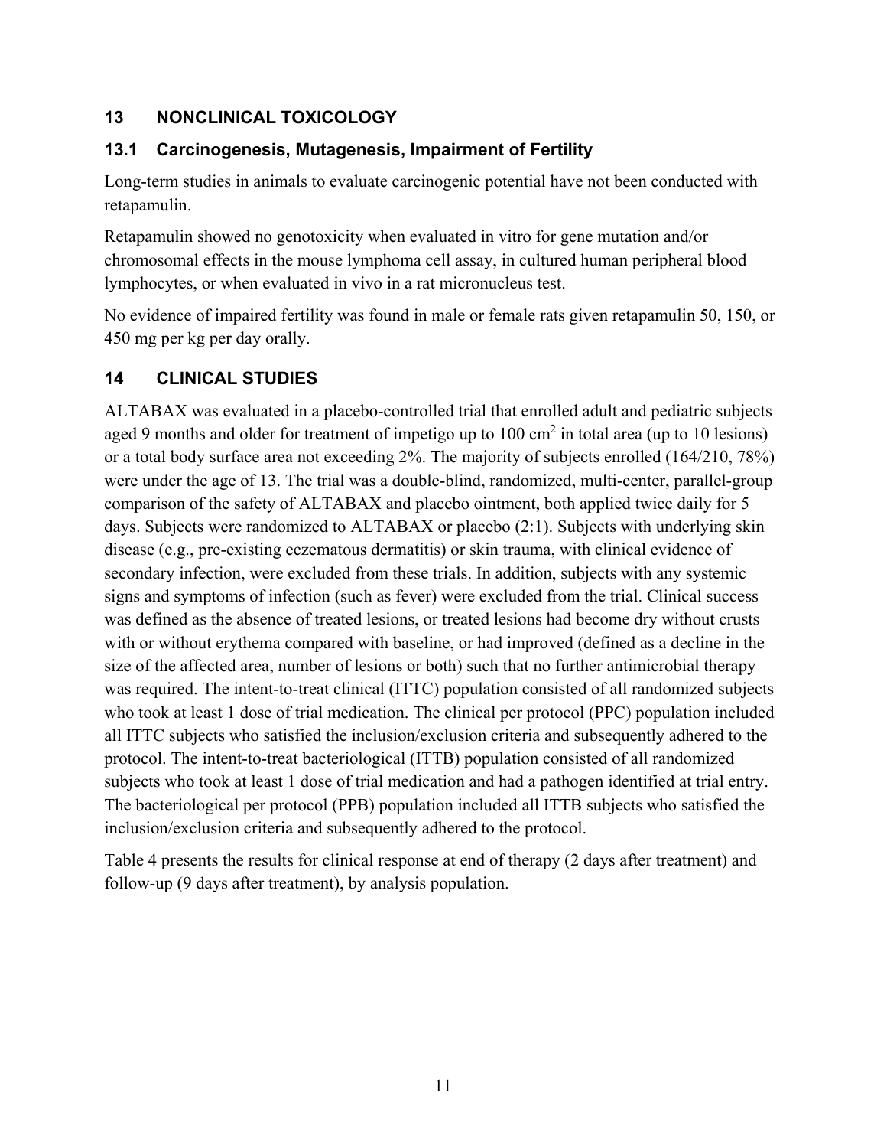## **13 NONCLINICAL TOXICOLOGY**

## **13.1 Carcinogenesis, Mutagenesis, Impairment of Fertility**

Long-term studies in animals to evaluate carcinogenic potential have not been conducted with retapamulin.

Retapamulin showed no genotoxicity when evaluated in vitro for gene mutation and/or chromosomal effects in the mouse lymphoma cell assay, in cultured human peripheral blood lymphocytes, or when evaluated in vivo in a rat micronucleus test.

No evidence of impaired fertility was found in male or female rats given retapamulin 50, 150, or 450 mg per kg per day orally.

## **14 CLINICAL STUDIES**

ALTABAX was evaluated in a placebo-controlled trial that enrolled adult and pediatric subjects aged 9 months and older for treatment of impetigo up to  $100 \text{ cm}^2$  in total area (up to 10 lesions) or a total body surface area not exceeding 2%. The majority of subjects enrolled (164/210, 78%) were under the age of 13. The trial was a double-blind, randomized, multi-center, parallel-group comparison of the safety of ALTABAX and placebo ointment, both applied twice daily for 5 days. Subjects were randomized to ALTABAX or placebo (2:1). Subjects with underlying skin disease (e.g., pre-existing eczematous dermatitis) or skin trauma, with clinical evidence of secondary infection, were excluded from these trials. In addition, subjects with any systemic signs and symptoms of infection (such as fever) were excluded from the trial. Clinical success was defined as the absence of treated lesions, or treated lesions had become dry without crusts with or without erythema compared with baseline, or had improved (defined as a decline in the size of the affected area, number of lesions or both) such that no further antimicrobial therapy was required. The intent-to-treat clinical (ITTC) population consisted of all randomized subjects who took at least 1 dose of trial medication. The clinical per protocol (PPC) population included all ITTC subjects who satisfied the inclusion/exclusion criteria and subsequently adhered to the protocol. The intent-to-treat bacteriological (ITTB) population consisted of all randomized subjects who took at least 1 dose of trial medication and had a pathogen identified at trial entry. The bacteriological per protocol (PPB) population included all ITTB subjects who satisfied the inclusion/exclusion criteria and subsequently adhered to the protocol.

Table 4 presents the results for clinical response at end of therapy (2 days after treatment) and follow-up (9 days after treatment), by analysis population.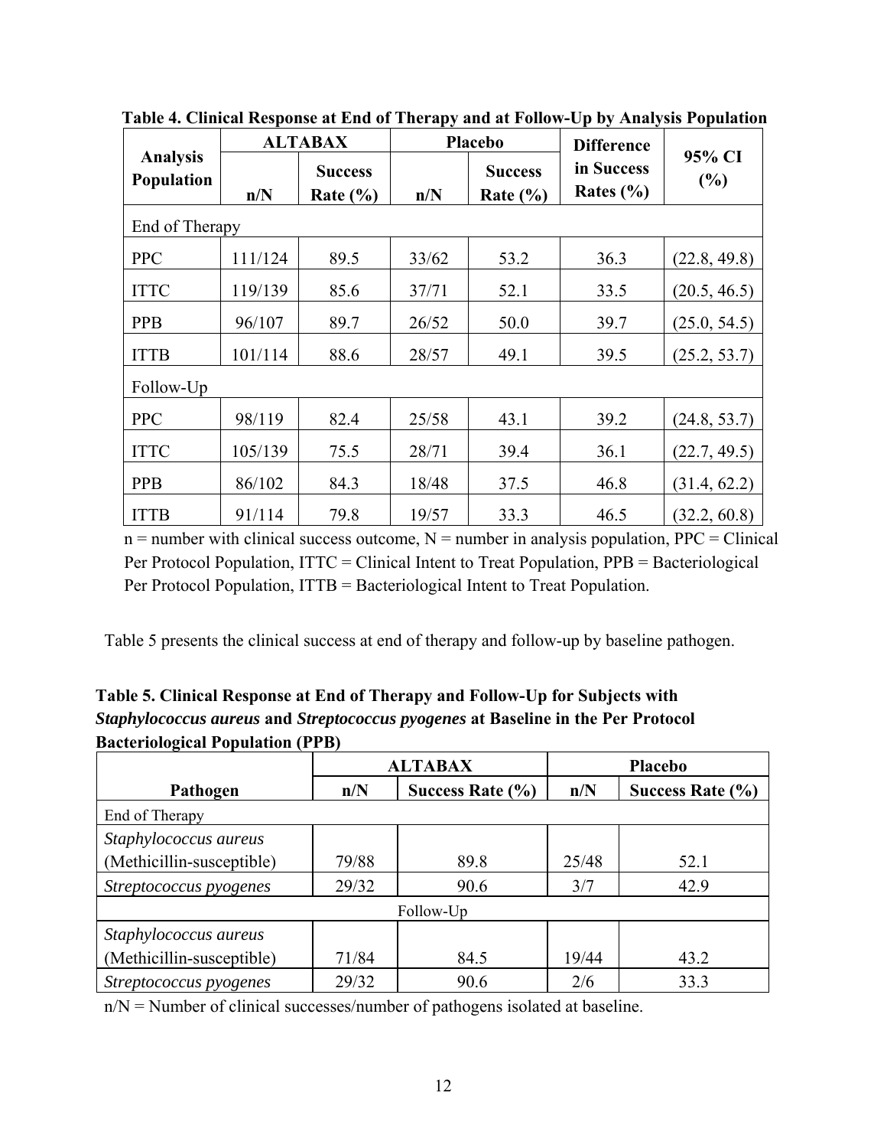|                                      | <b>ALTABAX</b> |                                | <b>Placebo</b> |                                | <b>Difference</b>           |               |
|--------------------------------------|----------------|--------------------------------|----------------|--------------------------------|-----------------------------|---------------|
| <b>Analysis</b><br><b>Population</b> | n/N            | <b>Success</b><br>Rate $(\% )$ | n/N            | <b>Success</b><br>Rate $(\% )$ | in Success<br>Rates $(\% )$ | 95% CI<br>(%) |
| End of Therapy                       |                |                                |                |                                |                             |               |
| <b>PPC</b>                           | 111/124        | 89.5                           | 33/62          | 53.2                           | 36.3                        | (22.8, 49.8)  |
| <b>ITTC</b>                          | 119/139        | 85.6                           | 37/71          | 52.1                           | 33.5                        | (20.5, 46.5)  |
| <b>PPB</b>                           | 96/107         | 89.7                           | 26/52          | 50.0                           | 39.7                        | (25.0, 54.5)  |
| <b>ITTB</b>                          | 101/114        | 88.6                           | 28/57          | 49.1                           | 39.5                        | (25.2, 53.7)  |
| Follow-Up                            |                |                                |                |                                |                             |               |
| <b>PPC</b>                           | 98/119         | 82.4                           | 25/58          | 43.1                           | 39.2                        | (24.8, 53.7)  |
| <b>ITTC</b>                          | 105/139        | 75.5                           | 28/71          | 39.4                           | 36.1                        | (22.7, 49.5)  |
| <b>PPB</b>                           | 86/102         | 84.3                           | 18/48          | 37.5                           | 46.8                        | (31.4, 62.2)  |
| <b>ITTB</b>                          | 91/114         | 79.8                           | 19/57          | 33.3                           | 46.5                        | (32.2, 60.8)  |

**Table 4. Clinical Response at End of Therapy and at Follow-Up by Analysis Population**

 $n =$  number with clinical success outcome,  $N =$  number in analysis population, PPC = Clinical Per Protocol Population, ITTC = Clinical Intent to Treat Population, PPB = Bacteriological Per Protocol Population, ITTB = Bacteriological Intent to Treat Population.

Table 5 presents the clinical success at end of therapy and follow-up by baseline pathogen.

| Table 5. Clinical Response at End of Therapy and Follow-Up for Subjects with                   |
|------------------------------------------------------------------------------------------------|
| <i>Staphylococcus aureus</i> and <i>Streptococcus pyogenes</i> at Baseline in the Per Protocol |
| <b>Bacteriological Population (PPB)</b>                                                        |
|                                                                                                |

|                           | <b>ALTABAX</b> |                      | <b>Placebo</b> |                      |  |
|---------------------------|----------------|----------------------|----------------|----------------------|--|
| Pathogen                  | n/N            | Success Rate $(\% )$ | n/N            | Success Rate $(\% )$ |  |
| End of Therapy            |                |                      |                |                      |  |
| Staphylococcus aureus     |                |                      |                |                      |  |
| (Methicillin-susceptible) | 79/88          | 89.8                 | 25/48          | 52.1                 |  |
| Streptococcus pyogenes    | 29/32          | 90.6                 | 3/7            | 42.9                 |  |
| Follow-Up                 |                |                      |                |                      |  |
| Staphylococcus aureus     |                |                      |                |                      |  |
| (Methicillin-susceptible) | 71/84          | 84.5                 | 19/44          | 43.2                 |  |
| Streptococcus pyogenes    | 29/32          | 90.6                 | 2/6            | 33.3                 |  |

n/N = Number of clinical successes/number of pathogens isolated at baseline.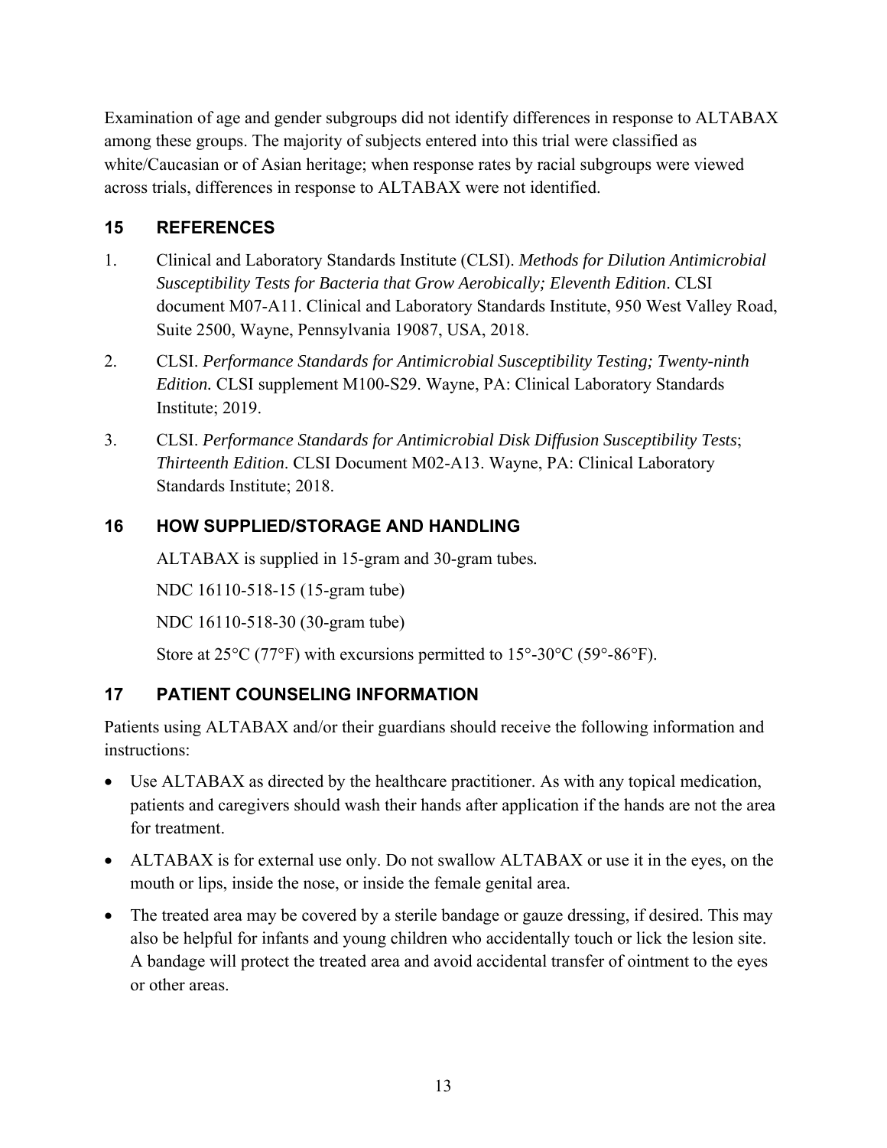Examination of age and gender subgroups did not identify differences in response to ALTABAX among these groups. The majority of subjects entered into this trial were classified as white/Caucasian or of Asian heritage; when response rates by racial subgroups were viewed across trials, differences in response to ALTABAX were not identified.

## **15 REFERENCES**

- 1. Clinical and Laboratory Standards Institute (CLSI). *Methods for Dilution Antimicrobial Susceptibility Tests for Bacteria that Grow Aerobically; Eleventh Edition*. CLSI document M07-A11. Clinical and Laboratory Standards Institute, 950 West Valley Road, Suite 2500, Wayne, Pennsylvania 19087, USA, 2018.
- 2. CLSI. *Performance Standards for Antimicrobial Susceptibility Testing; Twenty-ninth Edition.* CLSI supplement M100-S29. Wayne, PA: Clinical Laboratory Standards Institute; 2019.
- 3. CLSI. *Performance Standards for Antimicrobial Disk Diffusion Susceptibility Tests*; *Thirteenth Edition*. CLSI Document M02-A13. Wayne, PA: Clinical Laboratory Standards Institute; 2018.

## **16 HOW SUPPLIED/STORAGE AND HANDLING**

ALTABAX is supplied in 15-gram and 30-gram tubes*.*

NDC 16110-518-15 (15-gram tube)

NDC 16110-518-30 (30-gram tube)

Store at  $25^{\circ}$ C (77°F) with excursions permitted to  $15^{\circ}$ -30°C (59°-86°F).

### **17 PATIENT COUNSELING INFORMATION**

Patients using ALTABAX and/or their guardians should receive the following information and instructions:

- Use ALTABAX as directed by the healthcare practitioner. As with any topical medication, patients and caregivers should wash their hands after application if the hands are not the area for treatment.
- ALTABAX is for external use only. Do not swallow ALTABAX or use it in the eyes, on the mouth or lips, inside the nose, or inside the female genital area.
- The treated area may be covered by a sterile bandage or gauze dressing, if desired. This may also be helpful for infants and young children who accidentally touch or lick the lesion site. A bandage will protect the treated area and avoid accidental transfer of ointment to the eyes or other areas.